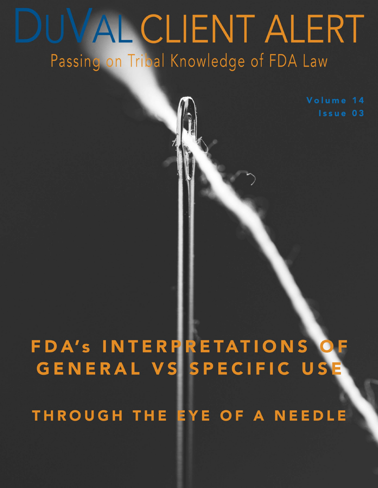# DUVAL CLIENT ALERT Passing on Tribal Knowledge of FDA Law

Volume 14 Issue 03

## FDA'S INTERPRETATIONS O GENERAL VS SPECIFIC US

THROUGH THE EYE OF A NEEDLE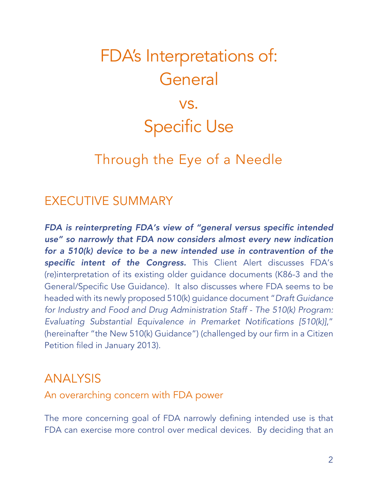## FDA's Interpretations of: **General** vs. Specific Use

## Through the Eye of a Needle

### EXECUTIVE SUMMARY

*FDA is reinterpreting FDA's view of "general versus specific intended use" so narrowly that FDA now considers almost every new indication for a 510(k) device to be a new intended use in contravention of the specific intent of the Congress.* This Client Alert discusses FDA's (re)interpretation of its existing older guidance documents (K86-3 and the General/Specific Use Guidance). It also discusses where FDA seems to be headed with its newly proposed 510(k) guidance document "*Draft Guidance for Industry and Food and Drug Administration Staff - The 510(k) Program: Evaluating Substantial Equivalence in Premarket Notifications [510(k)]*," (hereinafter "the New 510(k) Guidance") (challenged by our firm in a Citizen Petition filed in January 2013).

### ANALYSIS

An overarching concern with FDA power

The more concerning goal of FDA narrowly defining intended use is that FDA can exercise more control over medical devices. By deciding that an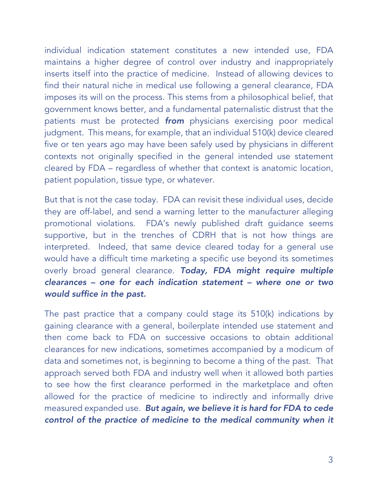individual indication statement constitutes a new intended use, FDA maintains a higher degree of control over industry and inappropriately inserts itself into the practice of medicine. Instead of allowing devices to find their natural niche in medical use following a general clearance, FDA imposes its will on the process. This stems from a philosophical belief, that government knows better, and a fundamental paternalistic distrust that the patients must be protected *from* physicians exercising poor medical judgment. This means, for example, that an individual 510(k) device cleared five or ten years ago may have been safely used by physicians in different contexts not originally specified in the general intended use statement cleared by FDA – regardless of whether that context is anatomic location, patient population, tissue type, or whatever.

But that is not the case today. FDA can revisit these individual uses, decide they are off-label, and send a warning letter to the manufacturer alleging promotional violations. FDA's newly published draft guidance seems supportive, but in the trenches of CDRH that is not how things are interpreted. Indeed, that same device cleared today for a general use would have a difficult time marketing a specific use beyond its sometimes overly broad general clearance. *Today, FDA might require multiple clearances – one for each indication statement – where one or two would suffice in the past.* 

The past practice that a company could stage its 510(k) indications by gaining clearance with a general, boilerplate intended use statement and then come back to FDA on successive occasions to obtain additional clearances for new indications, sometimes accompanied by a modicum of data and sometimes not, is beginning to become a thing of the past. That approach served both FDA and industry well when it allowed both parties to see how the first clearance performed in the marketplace and often allowed for the practice of medicine to indirectly and informally drive measured expanded use. *But again, we believe it is hard for FDA to cede control of the practice of medicine to the medical community when it*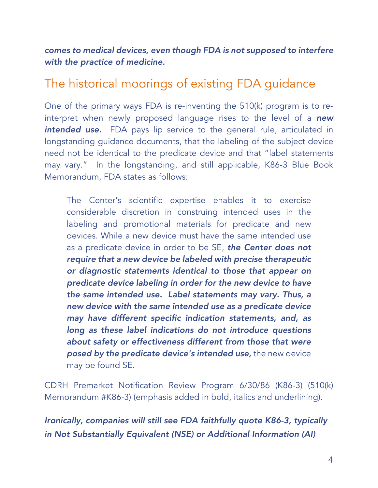*comes to medical devices, even though FDA is not supposed to interfere with the practice of medicine.* 

### The historical moorings of existing FDA guidance

One of the primary ways FDA is re-inventing the 510(k) program is to reinterpret when newly proposed language rises to the level of a *new intended use.* FDA pays lip service to the general rule, articulated in longstanding guidance documents, that the labeling of the subject device need not be identical to the predicate device and that "label statements may vary." In the longstanding, and still applicable, K86-3 Blue Book Memorandum, FDA states as follows:

The Center's scientific expertise enables it to exercise considerable discretion in construing intended uses in the labeling and promotional materials for predicate and new devices. While a new device must have the same intended use as a predicate device in order to be SE, *the Center does not require that a new device be labeled with precise therapeutic or diagnostic statements identical to those that appear on predicate device labeling in order for the new device to have the same intended use. Label statements may vary. Thus, a new device with the same intended use as a predicate device may have different specific indication statements, and, as long as these label indications do not introduce questions about safety or effectiveness different from those that were posed by the predicate device's intended use,* the new device may be found SE.

CDRH Premarket Notification Review Program 6/30/86 (K86-3) (510(k) Memorandum #K86-3) (emphasis added in bold, italics and underlining).

*Ironically, companies will still see FDA faithfully quote K86-3, typically in Not Substantially Equivalent (NSE) or Additional Information (AI)*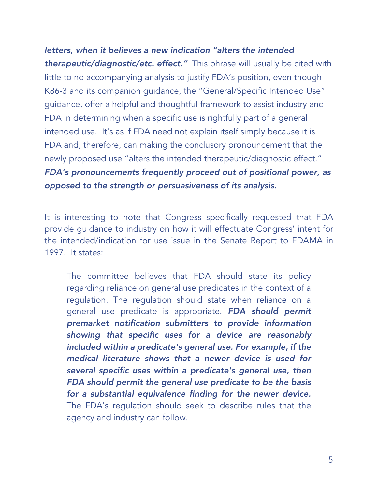*letters, when it believes a new indication "alters the intended therapeutic/diagnostic/etc. effect."* This phrase will usually be cited with little to no accompanying analysis to justify FDA's position, even though K86-3 and its companion guidance, the "General/Specific Intended Use" guidance, offer a helpful and thoughtful framework to assist industry and FDA in determining when a specific use is rightfully part of a general intended use. It's as if FDA need not explain itself simply because it is FDA and, therefore, can making the conclusory pronouncement that the newly proposed use "alters the intended therapeutic/diagnostic effect." *FDA's pronouncements frequently proceed out of positional power, as opposed to the strength or persuasiveness of its analysis.*

It is interesting to note that Congress specifically requested that FDA provide guidance to industry on how it will effectuate Congress' intent for the intended/indication for use issue in the Senate Report to FDAMA in 1997. It states:

The committee believes that FDA should state its policy regarding reliance on general use predicates in the context of a regulation. The regulation should state when reliance on a general use predicate is appropriate. *FDA should permit premarket notification submitters to provide information showing that specific uses for a device are reasonably included within a predicate's general use. For example, if the medical literature shows that a newer device is used for several specific uses within a predicate's general use, then FDA should permit the general use predicate to be the basis for a substantial equivalence finding for the newer device.*  The FDA's regulation should seek to describe rules that the agency and industry can follow.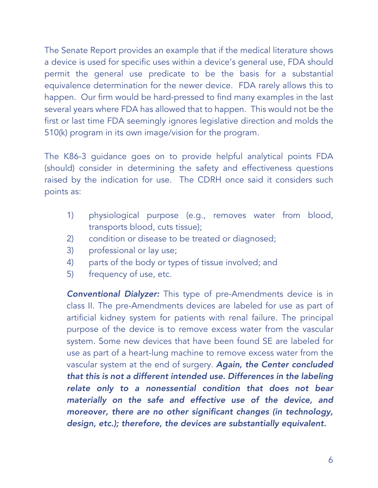The Senate Report provides an example that if the medical literature shows a device is used for specific uses within a device's general use, FDA should permit the general use predicate to be the basis for a substantial equivalence determination for the newer device. FDA rarely allows this to happen. Our firm would be hard-pressed to find many examples in the last several years where FDA has allowed that to happen. This would not be the first or last time FDA seemingly ignores legislative direction and molds the 510(k) program in its own image/vision for the program.

The K86-3 guidance goes on to provide helpful analytical points FDA (should) consider in determining the safety and effectiveness questions raised by the indication for use. The CDRH once said it considers such points as:

- 1) physiological purpose (e.g., removes water from blood, transports blood, cuts tissue);
- 2) condition or disease to be treated or diagnosed;
- 3) professional or lay use;
- 4) parts of the body or types of tissue involved; and
- 5) frequency of use, etc.

*Conventional Dialyzer:* This type of pre-Amendments device is in class II. The pre-Amendments devices are labeled for use as part of artificial kidney system for patients with renal failure. The principal purpose of the device is to remove excess water from the vascular system. Some new devices that have been found SE are labeled for use as part of a heart-lung machine to remove excess water from the vascular system at the end of surgery. *Again, the Center concluded that this is not a different intended use. Differences in the labeling relate only to a nonessential condition that does not bear materially on the safe and effective use of the device, and moreover, there are no other significant changes (in technology, design, etc.); therefore, the devices are substantially equivalent.*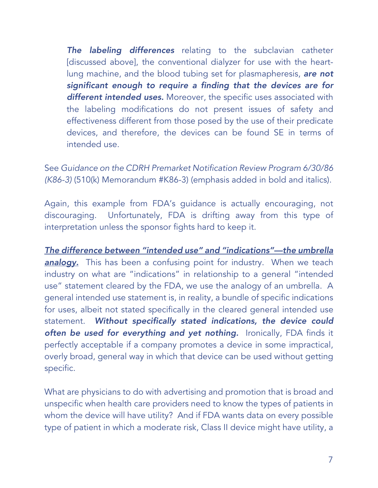*The labeling differences* relating to the subclavian catheter [discussed above], the conventional dialyzer for use with the heartlung machine, and the blood tubing set for plasmapheresis, *are not significant enough to require a finding that the devices are for different intended uses.* Moreover, the specific uses associated with the labeling modifications do not present issues of safety and effectiveness different from those posed by the use of their predicate devices, and therefore, the devices can be found SE in terms of intended use.

See *Guidance on the CDRH Premarket Notification Review Program 6/30/86 (K86-3)* (510(k) Memorandum #K86-3) (emphasis added in bold and italics).

Again, this example from FDA's guidance is actually encouraging, not discouraging. Unfortunately, FDA is drifting away from this type of interpretation unless the sponsor fights hard to keep it.

*The difference between "intended use" and "indications"—the umbrella*  **analogy.** This has been a confusing point for industry. When we teach industry on what are "indications" in relationship to a general "intended use" statement cleared by the FDA, we use the analogy of an umbrella. A general intended use statement is, in reality, a bundle of specific indications for uses, albeit not stated specifically in the cleared general intended use statement. *Without specifically stated indications, the device could often be used for everything and yet nothing.* Ironically, FDA finds it perfectly acceptable if a company promotes a device in some impractical, overly broad, general way in which that device can be used without getting specific.

What are physicians to do with advertising and promotion that is broad and unspecific when health care providers need to know the types of patients in whom the device will have utility? And if FDA wants data on every possible type of patient in which a moderate risk, Class II device might have utility, a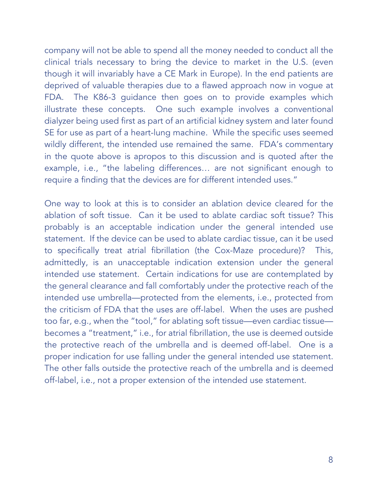company will not be able to spend all the money needed to conduct all the clinical trials necessary to bring the device to market in the U.S. (even though it will invariably have a CE Mark in Europe). In the end patients are deprived of valuable therapies due to a flawed approach now in vogue at FDA. The K86-3 guidance then goes on to provide examples which illustrate these concepts. One such example involves a conventional dialyzer being used first as part of an artificial kidney system and later found SE for use as part of a heart-lung machine. While the specific uses seemed wildly different, the intended use remained the same. FDA's commentary in the quote above is apropos to this discussion and is quoted after the example, i.e., "the labeling differences… are not significant enough to require a finding that the devices are for different intended uses."

One way to look at this is to consider an ablation device cleared for the ablation of soft tissue. Can it be used to ablate cardiac soft tissue? This probably is an acceptable indication under the general intended use statement. If the device can be used to ablate cardiac tissue, can it be used to specifically treat atrial fibrillation (the Cox-Maze procedure)? This, admittedly, is an unacceptable indication extension under the general intended use statement. Certain indications for use are contemplated by the general clearance and fall comfortably under the protective reach of the intended use umbrella—protected from the elements, i.e., protected from the criticism of FDA that the uses are off-label. When the uses are pushed too far, e.g., when the "tool," for ablating soft tissue—even cardiac tissue becomes a "treatment," i.e., for atrial fibrillation, the use is deemed outside the protective reach of the umbrella and is deemed off-label. One is a proper indication for use falling under the general intended use statement. The other falls outside the protective reach of the umbrella and is deemed off-label, i.e., not a proper extension of the intended use statement.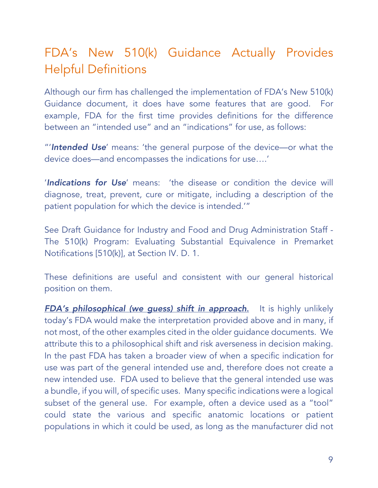## FDA's New 510(k) Guidance Actually Provides Helpful Definitions

Although our firm has challenged the implementation of FDA's New 510(k) Guidance document, it does have some features that are good. For example, FDA for the first time provides definitions for the difference between an "intended use" and an "indications" for use, as follows:

"'*Intended Use*' means: 'the general purpose of the device—or what the device does—and encompasses the indications for use….'

'*Indications for Use*' means: 'the disease or condition the device will diagnose, treat, prevent, cure or mitigate, including a description of the patient population for which the device is intended.'"

See Draft Guidance for Industry and Food and Drug Administration Staff - The 510(k) Program: Evaluating Substantial Equivalence in Premarket Notifications [510(k)], at Section IV. D. 1.

These definitions are useful and consistent with our general historical position on them.

*FDA's philosophical (we guess) shift in approach*. It is highly unlikely today's FDA would make the interpretation provided above and in many, if not most, of the other examples cited in the older guidance documents. We attribute this to a philosophical shift and risk averseness in decision making. In the past FDA has taken a broader view of when a specific indication for use was part of the general intended use and, therefore does not create a new intended use. FDA used to believe that the general intended use was a bundle, if you will, of specific uses. Many specific indications were a logical subset of the general use. For example, often a device used as a "tool" could state the various and specific anatomic locations or patient populations in which it could be used, as long as the manufacturer did not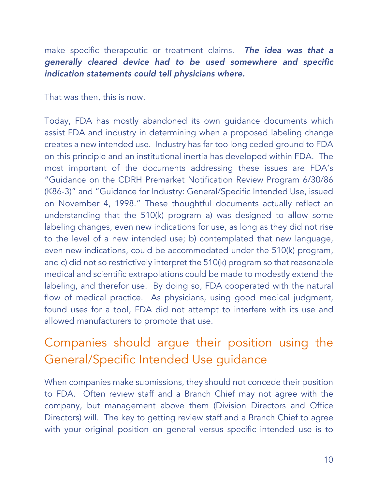make specific therapeutic or treatment claims. *The idea was that a generally cleared device had to be used somewhere and specific indication statements could tell physicians where.*

That was then, this is now.

Today, FDA has mostly abandoned its own guidance documents which assist FDA and industry in determining when a proposed labeling change creates a new intended use. Industry has far too long ceded ground to FDA on this principle and an institutional inertia has developed within FDA. The most important of the documents addressing these issues are FDA's "Guidance on the CDRH Premarket Notification Review Program 6/30/86 (K86-3)" and "Guidance for Industry: General/Specific Intended Use, issued on November 4, 1998." These thoughtful documents actually reflect an understanding that the 510(k) program a) was designed to allow some labeling changes, even new indications for use, as long as they did not rise to the level of a new intended use; b) contemplated that new language, even new indications, could be accommodated under the 510(k) program, and c) did not so restrictively interpret the 510(k) program so that reasonable medical and scientific extrapolations could be made to modestly extend the labeling, and therefor use. By doing so, FDA cooperated with the natural flow of medical practice. As physicians, using good medical judgment, found uses for a tool, FDA did not attempt to interfere with its use and allowed manufacturers to promote that use.

## Companies should argue their position using the General/Specific Intended Use guidance

When companies make submissions, they should not concede their position to FDA. Often review staff and a Branch Chief may not agree with the company, but management above them (Division Directors and Office Directors) will. The key to getting review staff and a Branch Chief to agree with your original position on general versus specific intended use is to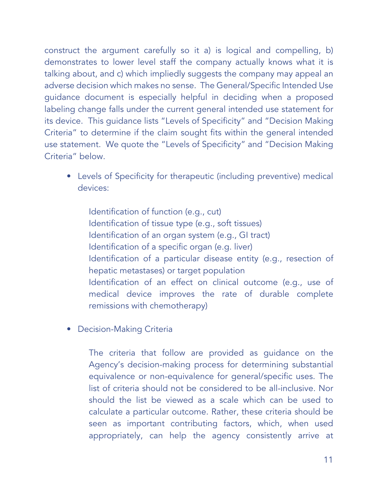construct the argument carefully so it a) is logical and compelling, b) demonstrates to lower level staff the company actually knows what it is talking about, and c) which impliedly suggests the company may appeal an adverse decision which makes no sense. The General/Specific Intended Use guidance document is especially helpful in deciding when a proposed labeling change falls under the current general intended use statement for its device. This guidance lists "Levels of Specificity" and "Decision Making Criteria" to determine if the claim sought fits within the general intended use statement. We quote the "Levels of Specificity" and "Decision Making Criteria" below.

• Levels of Specificity for therapeutic (including preventive) medical devices:

Identification of function (e.g., cut) Identification of tissue type (e.g., soft tissues) Identification of an organ system (e.g., GI tract) Identification of a specific organ (e.g. liver) Identification of a particular disease entity (e.g., resection of hepatic metastases) or target population Identification of an effect on clinical outcome (e.g., use of medical device improves the rate of durable complete remissions with chemotherapy)

• Decision-Making Criteria

The criteria that follow are provided as guidance on the Agency's decision-making process for determining substantial equivalence or non-equivalence for general/specific uses. The list of criteria should not be considered to be all-inclusive. Nor should the list be viewed as a scale which can be used to calculate a particular outcome. Rather, these criteria should be seen as important contributing factors, which, when used appropriately, can help the agency consistently arrive at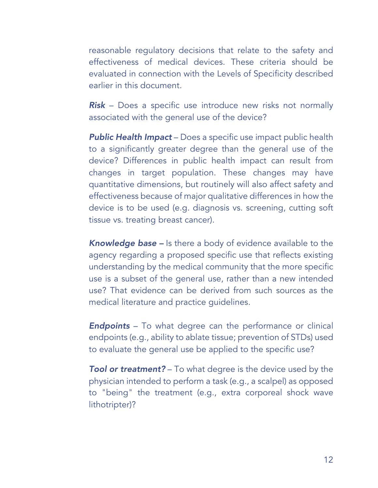reasonable regulatory decisions that relate to the safety and effectiveness of medical devices. These criteria should be evaluated in connection with the Levels of Specificity described earlier in this document.

*Risk* – Does a specific use introduce new risks not normally associated with the general use of the device?

*Public Health Impact* – Does a specific use impact public health to a significantly greater degree than the general use of the device? Differences in public health impact can result from changes in target population. These changes may have quantitative dimensions, but routinely will also affect safety and effectiveness because of major qualitative differences in how the device is to be used (e.g. diagnosis vs. screening, cutting soft tissue vs. treating breast cancer).

*Knowledge base –* Is there a body of evidence available to the agency regarding a proposed specific use that reflects existing understanding by the medical community that the more specific use is a subset of the general use, rather than a new intended use? That evidence can be derived from such sources as the medical literature and practice guidelines.

*Endpoints* – To what degree can the performance or clinical endpoints (e.g., ability to ablate tissue; prevention of STDs) used to evaluate the general use be applied to the specific use?

**Tool or treatment?** – To what degree is the device used by the physician intended to perform a task (e.g., a scalpel) as opposed to "being" the treatment (e.g., extra corporeal shock wave lithotripter)?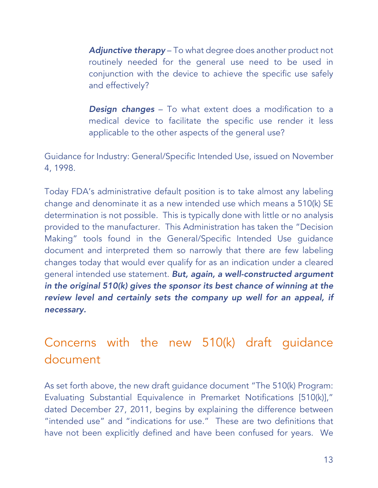*Adjunctive therapy* – To what degree does another product not routinely needed for the general use need to be used in conjunction with the device to achieve the specific use safely and effectively?

*Design changes* – To what extent does a modification to a medical device to facilitate the specific use render it less applicable to the other aspects of the general use?

Guidance for Industry: General/Specific Intended Use, issued on November 4, 1998.

Today FDA's administrative default position is to take almost any labeling change and denominate it as a new intended use which means a 510(k) SE determination is not possible. This is typically done with little or no analysis provided to the manufacturer. This Administration has taken the "Decision Making" tools found in the General/Specific Intended Use guidance document and interpreted them so narrowly that there are few labeling changes today that would ever qualify for as an indication under a cleared general intended use statement. *But, again, a well-constructed argument in the original 510(k) gives the sponsor its best chance of winning at the review level and certainly sets the company up well for an appeal, if necessary.*

## Concerns with the new 510(k) draft guidance document

As set forth above, the new draft guidance document "The 510(k) Program: Evaluating Substantial Equivalence in Premarket Notifications [510(k)]," dated December 27, 2011, begins by explaining the difference between "intended use" and "indications for use." These are two definitions that have not been explicitly defined and have been confused for years. We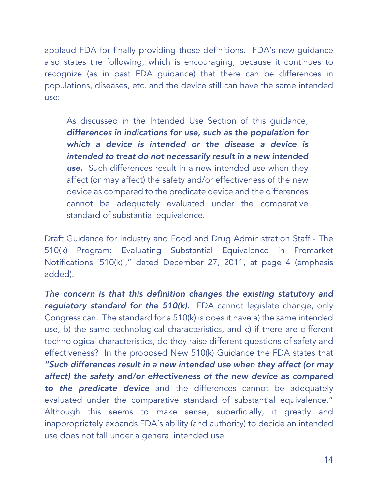applaud FDA for finally providing those definitions. FDA's new guidance also states the following, which is encouraging, because it continues to recognize (as in past FDA guidance) that there can be differences in populations, diseases, etc. and the device still can have the same intended use:

As discussed in the Intended Use Section of this guidance, *differences in indications for use, such as the population for which a device is intended or the disease a device is intended to treat do not necessarily result in a new intended use.* Such differences result in a new intended use when they affect (or may affect) the safety and/or effectiveness of the new device as compared to the predicate device and the differences cannot be adequately evaluated under the comparative standard of substantial equivalence.

Draft Guidance for Industry and Food and Drug Administration Staff - The 510(k) Program: Evaluating Substantial Equivalence in Premarket Notifications [510(k)]," dated December 27, 2011, at page 4 (emphasis added).

*The concern is that this definition changes the existing statutory and regulatory standard for the 510(k).* FDA cannot legislate change, only Congress can. The standard for a 510(k) is does it have a) the same intended use, b) the same technological characteristics, and c) if there are different technological characteristics, do they raise different questions of safety and effectiveness? In the proposed New 510(k) Guidance the FDA states that *"Such differences result in a new intended use when they affect (or may affect) the safety and/or effectiveness of the new device as compared to the predicate device* and the differences cannot be adequately evaluated under the comparative standard of substantial equivalence." Although this seems to make sense, superficially, it greatly and inappropriately expands FDA's ability (and authority) to decide an intended use does not fall under a general intended use.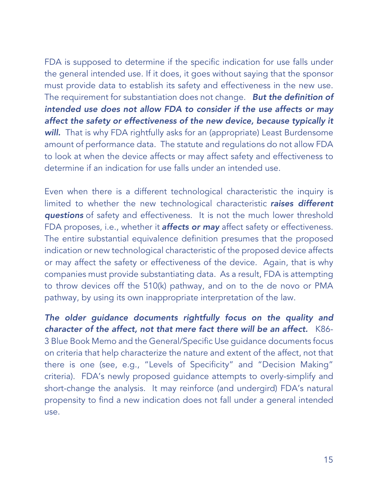FDA is supposed to determine if the specific indication for use falls under the general intended use. If it does, it goes without saying that the sponsor must provide data to establish its safety and effectiveness in the new use. The requirement for substantiation does not change. *But the definition of intended use does not allow FDA to consider if the use affects or may affect the safety or effectiveness of the new device, because typically it*  **will.** That is why FDA rightfully asks for an (appropriate) Least Burdensome amount of performance data. The statute and regulations do not allow FDA to look at when the device affects or may affect safety and effectiveness to determine if an indication for use falls under an intended use.

Even when there is a different technological characteristic the inquiry is limited to whether the new technological characteristic *raises different questions* of safety and effectiveness. It is not the much lower threshold FDA proposes, i.e., whether it **affects or may** affect safety or effectiveness. The entire substantial equivalence definition presumes that the proposed indication or new technological characteristic of the proposed device affects or may affect the safety or effectiveness of the device. Again, that is why companies must provide substantiating data. As a result, FDA is attempting to throw devices off the 510(k) pathway, and on to the de novo or PMA pathway, by using its own inappropriate interpretation of the law.

*The older guidance documents rightfully focus on the quality and character of the affect, not that mere fact there will be an affect.* K86- 3 Blue Book Memo and the General/Specific Use guidance documents focus on criteria that help characterize the nature and extent of the affect, not that there is one (see, e.g., "Levels of Specificity" and "Decision Making" criteria). FDA's newly proposed guidance attempts to overly-simplify and short-change the analysis. It may reinforce (and undergird) FDA's natural propensity to find a new indication does not fall under a general intended use.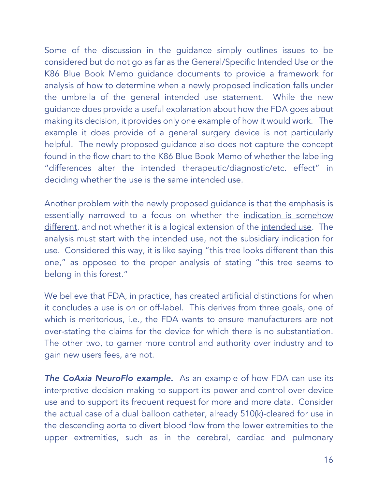Some of the discussion in the guidance simply outlines issues to be considered but do not go as far as the General/Specific Intended Use or the K86 Blue Book Memo guidance documents to provide a framework for analysis of how to determine when a newly proposed indication falls under the umbrella of the general intended use statement. While the new guidance does provide a useful explanation about how the FDA goes about making its decision, it provides only one example of how it would work. The example it does provide of a general surgery device is not particularly helpful. The newly proposed guidance also does not capture the concept found in the flow chart to the K86 Blue Book Memo of whether the labeling "differences alter the intended therapeutic/diagnostic/etc. effect" in deciding whether the use is the same intended use.

Another problem with the newly proposed guidance is that the emphasis is essentially narrowed to a focus on whether the indication is somehow different, and not whether it is a logical extension of the intended use. The analysis must start with the intended use, not the subsidiary indication for use. Considered this way, it is like saying "this tree looks different than this one," as opposed to the proper analysis of stating "this tree seems to belong in this forest."

We believe that FDA, in practice, has created artificial distinctions for when it concludes a use is on or off-label. This derives from three goals, one of which is meritorious, i.e., the FDA wants to ensure manufacturers are not over-stating the claims for the device for which there is no substantiation. The other two, to garner more control and authority over industry and to gain new users fees, are not.

*The CoAxia NeuroFlo example.* As an example of how FDA can use its interpretive decision making to support its power and control over device use and to support its frequent request for more and more data. Consider the actual case of a dual balloon catheter, already 510(k)-cleared for use in the descending aorta to divert blood flow from the lower extremities to the upper extremities, such as in the cerebral, cardiac and pulmonary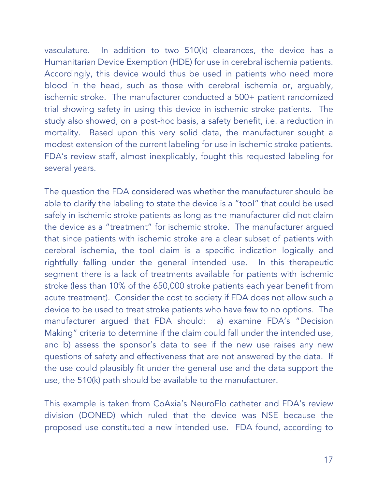vasculature. In addition to two 510(k) clearances, the device has a Humanitarian Device Exemption (HDE) for use in cerebral ischemia patients. Accordingly, this device would thus be used in patients who need more blood in the head, such as those with cerebral ischemia or, arguably, ischemic stroke. The manufacturer conducted a 500+ patient randomized trial showing safety in using this device in ischemic stroke patients. The study also showed, on a post-hoc basis, a safety benefit, i.e. a reduction in mortality. Based upon this very solid data, the manufacturer sought a modest extension of the current labeling for use in ischemic stroke patients. FDA's review staff, almost inexplicably, fought this requested labeling for several years.

The question the FDA considered was whether the manufacturer should be able to clarify the labeling to state the device is a "tool" that could be used safely in ischemic stroke patients as long as the manufacturer did not claim the device as a "treatment" for ischemic stroke. The manufacturer argued that since patients with ischemic stroke are a clear subset of patients with cerebral ischemia, the tool claim is a specific indication logically and rightfully falling under the general intended use. In this therapeutic segment there is a lack of treatments available for patients with ischemic stroke (less than 10% of the 650,000 stroke patients each year benefit from acute treatment). Consider the cost to society if FDA does not allow such a device to be used to treat stroke patients who have few to no options. The manufacturer argued that FDA should: a) examine FDA's "Decision Making" criteria to determine if the claim could fall under the intended use, and b) assess the sponsor's data to see if the new use raises any new questions of safety and effectiveness that are not answered by the data. If the use could plausibly fit under the general use and the data support the use, the 510(k) path should be available to the manufacturer.

This example is taken from CoAxia's NeuroFlo catheter and FDA's review division (DONED) which ruled that the device was NSE because the proposed use constituted a new intended use. FDA found, according to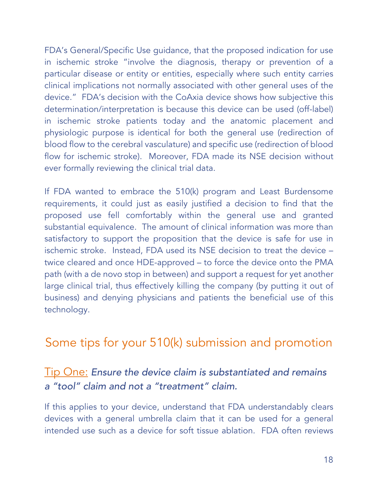FDA's General/Specific Use guidance, that the proposed indication for use in ischemic stroke "involve the diagnosis, therapy or prevention of a particular disease or entity or entities, especially where such entity carries clinical implications not normally associated with other general uses of the device." FDA's decision with the CoAxia device shows how subjective this determination/interpretation is because this device can be used (off-label) in ischemic stroke patients today and the anatomic placement and physiologic purpose is identical for both the general use (redirection of blood flow to the cerebral vasculature) and specific use (redirection of blood flow for ischemic stroke). Moreover, FDA made its NSE decision without ever formally reviewing the clinical trial data.

If FDA wanted to embrace the 510(k) program and Least Burdensome requirements, it could just as easily justified a decision to find that the proposed use fell comfortably within the general use and granted substantial equivalence. The amount of clinical information was more than satisfactory to support the proposition that the device is safe for use in ischemic stroke. Instead, FDA used its NSE decision to treat the device – twice cleared and once HDE-approved – to force the device onto the PMA path (with a de novo stop in between) and support a request for yet another large clinical trial, thus effectively killing the company (by putting it out of business) and denying physicians and patients the beneficial use of this technology.

## Some tips for your 510(k) submission and promotion

#### Tip One: *Ensure the device claim is substantiated and remains a "tool" claim and not a "treatment" claim.*

If this applies to your device, understand that FDA understandably clears devices with a general umbrella claim that it can be used for a general intended use such as a device for soft tissue ablation. FDA often reviews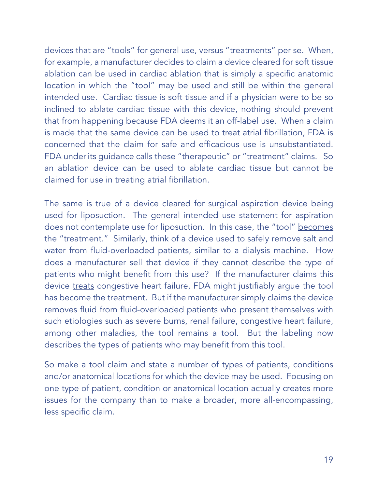devices that are "tools" for general use, versus "treatments" per se. When, for example, a manufacturer decides to claim a device cleared for soft tissue ablation can be used in cardiac ablation that is simply a specific anatomic location in which the "tool" may be used and still be within the general intended use. Cardiac tissue is soft tissue and if a physician were to be so inclined to ablate cardiac tissue with this device, nothing should prevent that from happening because FDA deems it an off-label use. When a claim is made that the same device can be used to treat atrial fibrillation, FDA is concerned that the claim for safe and efficacious use is unsubstantiated. FDA under its guidance calls these "therapeutic" or "treatment" claims. So an ablation device can be used to ablate cardiac tissue but cannot be claimed for use in treating atrial fibrillation.

The same is true of a device cleared for surgical aspiration device being used for liposuction. The general intended use statement for aspiration does not contemplate use for liposuction. In this case, the "tool" becomes the "treatment." Similarly, think of a device used to safely remove salt and water from fluid-overloaded patients, similar to a dialysis machine. How does a manufacturer sell that device if they cannot describe the type of patients who might benefit from this use? If the manufacturer claims this device treats congestive heart failure, FDA might justifiably argue the tool has become the treatment. But if the manufacturer simply claims the device removes fluid from fluid-overloaded patients who present themselves with such etiologies such as severe burns, renal failure, congestive heart failure, among other maladies, the tool remains a tool. But the labeling now describes the types of patients who may benefit from this tool.

So make a tool claim and state a number of types of patients, conditions and/or anatomical locations for which the device may be used. Focusing on one type of patient, condition or anatomical location actually creates more issues for the company than to make a broader, more all-encompassing, less specific claim.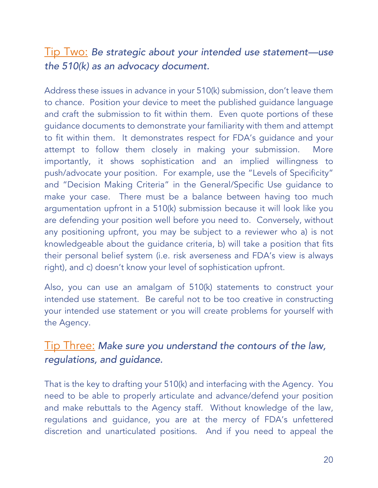#### Tip Two: *Be strategic about your intended use statement—use the 510(k) as an advocacy document.*

Address these issues in advance in your 510(k) submission, don't leave them to chance. Position your device to meet the published guidance language and craft the submission to fit within them. Even quote portions of these guidance documents to demonstrate your familiarity with them and attempt to fit within them. It demonstrates respect for FDA's guidance and your attempt to follow them closely in making your submission. More importantly, it shows sophistication and an implied willingness to push/advocate your position. For example, use the "Levels of Specificity" and "Decision Making Criteria" in the General/Specific Use guidance to make your case. There must be a balance between having too much argumentation upfront in a 510(k) submission because it will look like you are defending your position well before you need to. Conversely, without any positioning upfront, you may be subject to a reviewer who a) is not knowledgeable about the guidance criteria, b) will take a position that fits their personal belief system (i.e. risk averseness and FDA's view is always right), and c) doesn't know your level of sophistication upfront.

Also, you can use an amalgam of 510(k) statements to construct your intended use statement. Be careful not to be too creative in constructing your intended use statement or you will create problems for yourself with the Agency.

#### Tip Three: *Make sure you understand the contours of the law, regulations, and guidance.*

That is the key to drafting your 510(k) and interfacing with the Agency. You need to be able to properly articulate and advance/defend your position and make rebuttals to the Agency staff. Without knowledge of the law, regulations and guidance, you are at the mercy of FDA's unfettered discretion and unarticulated positions. And if you need to appeal the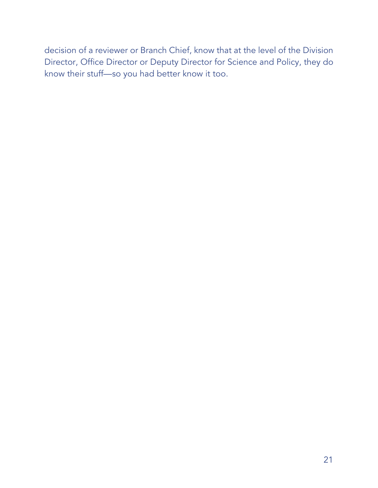decision of a reviewer or Branch Chief, know that at the level of the Division Director, Office Director or Deputy Director for Science and Policy, they do know their stuff—so you had better know it too.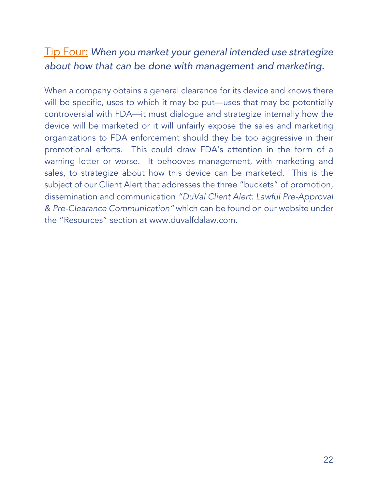### Tip Four: *When you market your general intended use strategize about how that can be done with management and marketing.*

When a company obtains a general clearance for its device and knows there will be specific, uses to which it may be put—uses that may be potentially controversial with FDA—it must dialogue and strategize internally how the device will be marketed or it will unfairly expose the sales and marketing organizations to FDA enforcement should they be too aggressive in their promotional efforts. This could draw FDA's attention in the form of a warning letter or worse. It behooves management, with marketing and sales, to strategize about how this device can be marketed. This is the subject of our Client Alert that addresses the three "buckets" of promotion, dissemination and communication *"DuVal Client Alert: Lawful Pre-Approval & Pre-Clearance Communication"* which can be found on our website under the "Resources" section at www.duvalfdalaw.com.